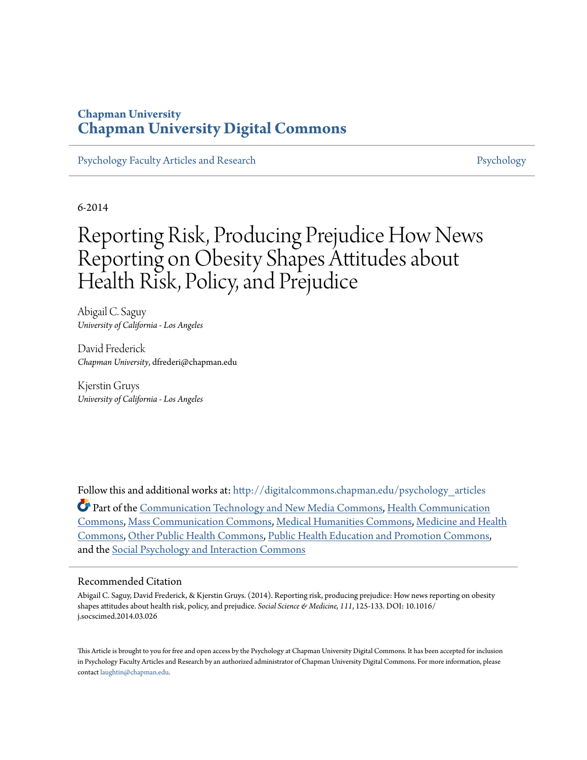## **Chapman University [Chapman University Digital Commons](http://digitalcommons.chapman.edu?utm_source=digitalcommons.chapman.edu%2Fpsychology_articles%2F42&utm_medium=PDF&utm_campaign=PDFCoverPages)**

[Psychology Faculty Articles and Research](http://digitalcommons.chapman.edu/psychology_articles?utm_source=digitalcommons.chapman.edu%2Fpsychology_articles%2F42&utm_medium=PDF&utm_campaign=PDFCoverPages) **[Psychology](http://digitalcommons.chapman.edu/psychology?utm_source=digitalcommons.chapman.edu%2Fpsychology_articles%2F42&utm_medium=PDF&utm_campaign=PDFCoverPages)** Psychology

6-2014

# Reporting Risk, Producing Prejudice How News Reporting on Obesity Shapes Attitudes about Health Risk, Policy, and Prejudice

Abigail C. Saguy *University of California - Los Angeles*

David Frederick *Chapman University*, dfrederi@chapman.edu

Kjerstin Gruys *University of California - Los Angeles*

Follow this and additional works at: [http://digitalcommons.chapman.edu/psychology\\_articles](http://digitalcommons.chapman.edu/psychology_articles?utm_source=digitalcommons.chapman.edu%2Fpsychology_articles%2F42&utm_medium=PDF&utm_campaign=PDFCoverPages) Part of the [Communication Technology and New Media Commons](http://network.bepress.com/hgg/discipline/327?utm_source=digitalcommons.chapman.edu%2Fpsychology_articles%2F42&utm_medium=PDF&utm_campaign=PDFCoverPages), [Health Communication](http://network.bepress.com/hgg/discipline/330?utm_source=digitalcommons.chapman.edu%2Fpsychology_articles%2F42&utm_medium=PDF&utm_campaign=PDFCoverPages) [Commons,](http://network.bepress.com/hgg/discipline/330?utm_source=digitalcommons.chapman.edu%2Fpsychology_articles%2F42&utm_medium=PDF&utm_campaign=PDFCoverPages) [Mass Communication Commons,](http://network.bepress.com/hgg/discipline/334?utm_source=digitalcommons.chapman.edu%2Fpsychology_articles%2F42&utm_medium=PDF&utm_campaign=PDFCoverPages) [Medical Humanities Commons,](http://network.bepress.com/hgg/discipline/1303?utm_source=digitalcommons.chapman.edu%2Fpsychology_articles%2F42&utm_medium=PDF&utm_campaign=PDFCoverPages) [Medicine and Health](http://network.bepress.com/hgg/discipline/422?utm_source=digitalcommons.chapman.edu%2Fpsychology_articles%2F42&utm_medium=PDF&utm_campaign=PDFCoverPages) [Commons,](http://network.bepress.com/hgg/discipline/422?utm_source=digitalcommons.chapman.edu%2Fpsychology_articles%2F42&utm_medium=PDF&utm_campaign=PDFCoverPages) [Other Public Health Commons,](http://network.bepress.com/hgg/discipline/748?utm_source=digitalcommons.chapman.edu%2Fpsychology_articles%2F42&utm_medium=PDF&utm_campaign=PDFCoverPages) [Public Health Education and Promotion Commons,](http://network.bepress.com/hgg/discipline/743?utm_source=digitalcommons.chapman.edu%2Fpsychology_articles%2F42&utm_medium=PDF&utm_campaign=PDFCoverPages) and the [Social Psychology and Interaction Commons](http://network.bepress.com/hgg/discipline/430?utm_source=digitalcommons.chapman.edu%2Fpsychology_articles%2F42&utm_medium=PDF&utm_campaign=PDFCoverPages)

#### Recommended Citation

Abigail C. Saguy, David Frederick, & Kjerstin Gruys. (2014). Reporting risk, producing prejudice: How news reporting on obesity shapes attitudes about health risk, policy, and prejudice. *Social Science & Medicine, 111*, 125-133. DOI: 10.1016/ j.socscimed.2014.03.026

This Article is brought to you for free and open access by the Psychology at Chapman University Digital Commons. It has been accepted for inclusion in Psychology Faculty Articles and Research by an authorized administrator of Chapman University Digital Commons. For more information, please contact [laughtin@chapman.edu](mailto:laughtin@chapman.edu).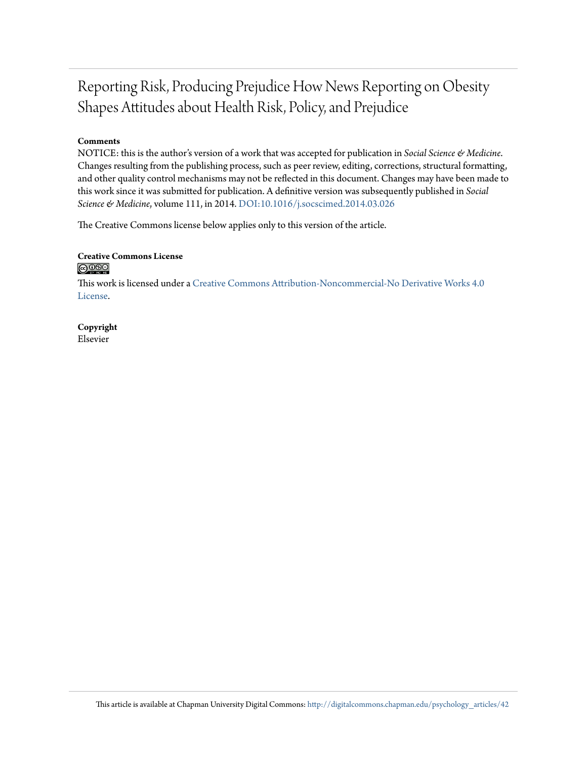## Reporting Risk, Producing Prejudice How News Reporting on Obesity Shapes Attitudes about Health Risk, Policy, and Prejudice

#### **Comments**

NOTICE: this is the author's version of a work that was accepted for publication in *Social Science & Medicine*. Changes resulting from the publishing process, such as peer review, editing, corrections, structural formatting, and other quality control mechanisms may not be reflected in this document. Changes may have been made to this work since it was submitted for publication. A definitive version was subsequently published in *Social Science & Medicine*, volume 111, in 2014. [DOI:10.1016/j.socscimed.2014.03.026](http://dx.doi.org/10.1016/j.socscimed.2014.03.026)

The Creative Commons license below applies only to this version of the article.

#### **Creative Commons License**  $\bigcirc$   $\circ$

This work is licensed under a [Creative Commons Attribution-Noncommercial-No Derivative Works 4.0](http://creativecommons.org/licenses/by-nc-nd/4.0/) [License.](http://creativecommons.org/licenses/by-nc-nd/4.0/)

#### **Copyright** Elsevier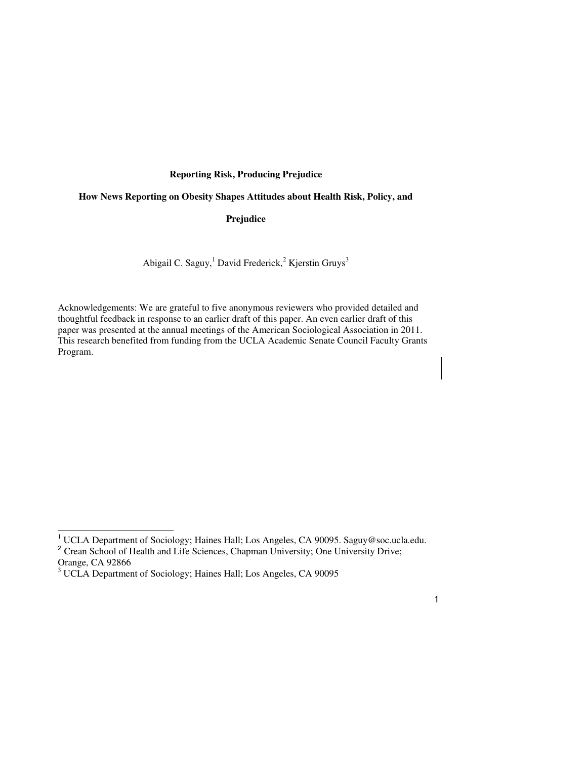#### **Reporting Risk, Producing Prejudice**

#### **How News Reporting on Obesity Shapes Attitudes about Health Risk, Policy, and**

#### **Prejudice**

Abigail C. Saguy,<sup>1</sup> David Frederick,<sup>2</sup> Kjerstin Gruys<sup>3</sup>

Acknowledgements: We are grateful to five anonymous reviewers who provided detailed and thoughtful feedback in response to an earlier draft of this paper. An even earlier draft of this paper was presented at the annual meetings of the American Sociological Association in 2011. This research benefited from funding from the UCLA Academic Senate Council Faculty Grants Program.

 1 UCLA Department of Sociology; Haines Hall; Los Angeles, CA 90095. Saguy@soc.ucla.edu. <sup>2</sup> Crean School of Health and Life Sciences, Chapman University; One University Drive; Orange, CA 92866<br><sup>3</sup> UCLA Department of Sociology; Haines Hall; Los Angeles, CA 90095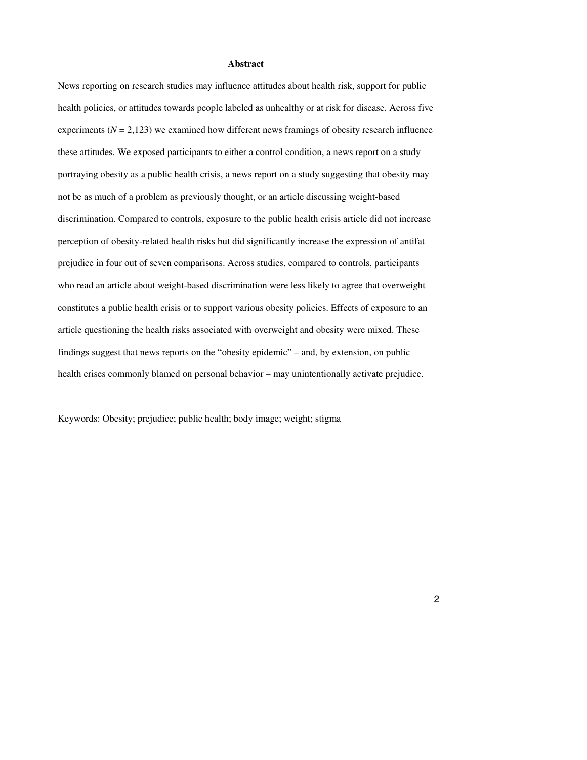#### **Abstract**

News reporting on research studies may influence attitudes about health risk, support for public health policies, or attitudes towards people labeled as unhealthy or at risk for disease. Across five experiments  $(N = 2,123)$  we examined how different news framings of obesity research influence these attitudes. We exposed participants to either a control condition, a news report on a study portraying obesity as a public health crisis, a news report on a study suggesting that obesity may not be as much of a problem as previously thought, or an article discussing weight-based discrimination. Compared to controls, exposure to the public health crisis article did not increase perception of obesity-related health risks but did significantly increase the expression of antifat prejudice in four out of seven comparisons. Across studies, compared to controls, participants who read an article about weight-based discrimination were less likely to agree that overweight constitutes a public health crisis or to support various obesity policies. Effects of exposure to an article questioning the health risks associated with overweight and obesity were mixed. These findings suggest that news reports on the "obesity epidemic" – and, by extension, on public health crises commonly blamed on personal behavior – may unintentionally activate prejudice.

Keywords: Obesity; prejudice; public health; body image; weight; stigma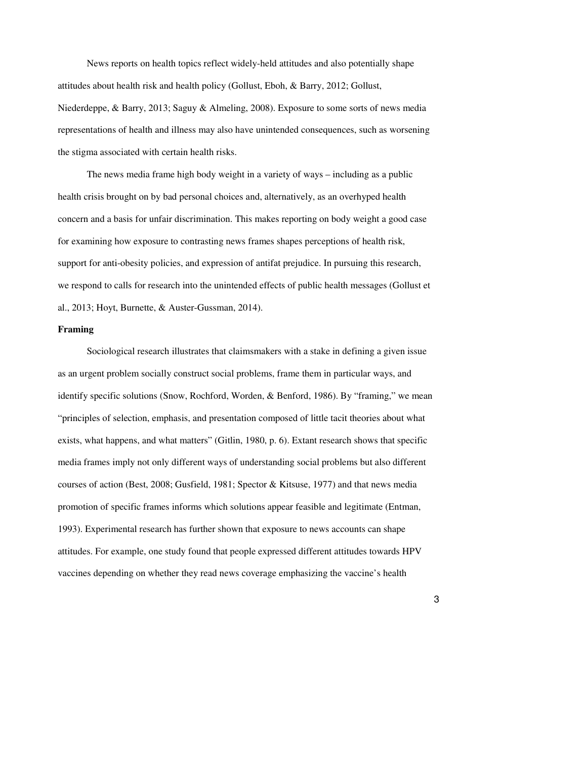News reports on health topics reflect widely-held attitudes and also potentially shape attitudes about health risk and health policy (Gollust, Eboh, & Barry, 2012; Gollust, Niederdeppe, & Barry, 2013; Saguy & Almeling, 2008). Exposure to some sorts of news media representations of health and illness may also have unintended consequences, such as worsening the stigma associated with certain health risks.

The news media frame high body weight in a variety of ways – including as a public health crisis brought on by bad personal choices and, alternatively, as an overhyped health concern and a basis for unfair discrimination. This makes reporting on body weight a good case for examining how exposure to contrasting news frames shapes perceptions of health risk, support for anti-obesity policies, and expression of antifat prejudice. In pursuing this research, we respond to calls for research into the unintended effects of public health messages (Gollust et al., 2013; Hoyt, Burnette, & Auster-Gussman, 2014).

#### **Framing**

Sociological research illustrates that claimsmakers with a stake in defining a given issue as an urgent problem socially construct social problems, frame them in particular ways, and identify specific solutions (Snow, Rochford, Worden, & Benford, 1986). By "framing," we mean "principles of selection, emphasis, and presentation composed of little tacit theories about what exists, what happens, and what matters" (Gitlin, 1980, p. 6). Extant research shows that specific media frames imply not only different ways of understanding social problems but also different courses of action (Best, 2008; Gusfield, 1981; Spector & Kitsuse, 1977) and that news media promotion of specific frames informs which solutions appear feasible and legitimate (Entman, 1993). Experimental research has further shown that exposure to news accounts can shape attitudes. For example, one study found that people expressed different attitudes towards HPV vaccines depending on whether they read news coverage emphasizing the vaccine's health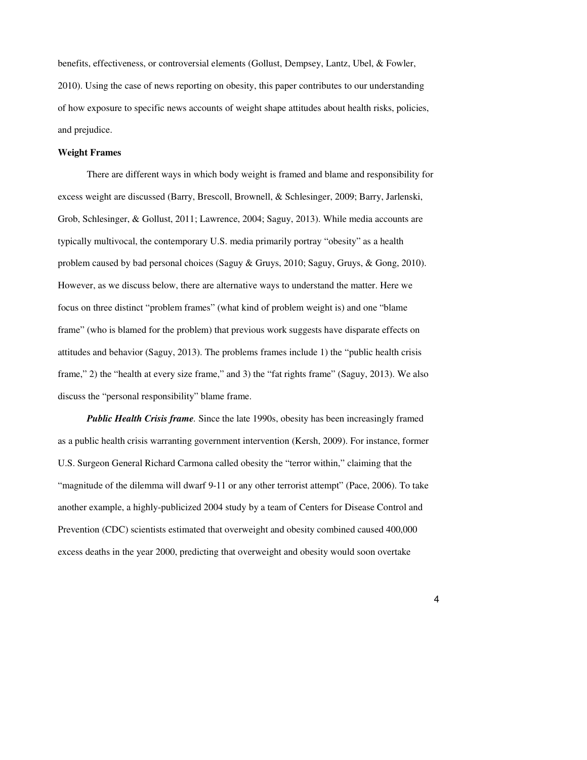benefits, effectiveness, or controversial elements (Gollust, Dempsey, Lantz, Ubel, & Fowler, 2010). Using the case of news reporting on obesity, this paper contributes to our understanding of how exposure to specific news accounts of weight shape attitudes about health risks, policies, and prejudice.

#### **Weight Frames**

There are different ways in which body weight is framed and blame and responsibility for excess weight are discussed (Barry, Brescoll, Brownell, & Schlesinger, 2009; Barry, Jarlenski, Grob, Schlesinger, & Gollust, 2011; Lawrence, 2004; Saguy, 2013). While media accounts are typically multivocal, the contemporary U.S. media primarily portray "obesity" as a health problem caused by bad personal choices (Saguy & Gruys, 2010; Saguy, Gruys, & Gong, 2010). However, as we discuss below, there are alternative ways to understand the matter. Here we focus on three distinct "problem frames" (what kind of problem weight is) and one "blame frame" (who is blamed for the problem) that previous work suggests have disparate effects on attitudes and behavior (Saguy, 2013). The problems frames include 1) the "public health crisis frame," 2) the "health at every size frame," and 3) the "fat rights frame" (Saguy, 2013). We also discuss the "personal responsibility" blame frame.

*Public Health Crisis frame.* Since the late 1990s, obesity has been increasingly framed as a public health crisis warranting government intervention (Kersh, 2009). For instance, former U.S. Surgeon General Richard Carmona called obesity the "terror within," claiming that the "magnitude of the dilemma will dwarf 9-11 or any other terrorist attempt" (Pace, 2006). To take another example, a highly-publicized 2004 study by a team of Centers for Disease Control and Prevention (CDC) scientists estimated that overweight and obesity combined caused 400,000 excess deaths in the year 2000, predicting that overweight and obesity would soon overtake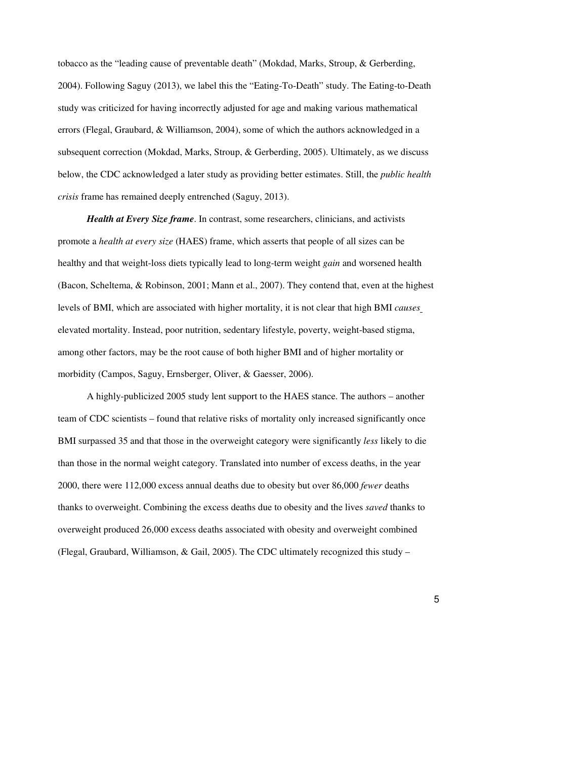tobacco as the "leading cause of preventable death" (Mokdad, Marks, Stroup, & Gerberding, 2004). Following Saguy (2013), we label this the "Eating-To-Death" study. The Eating-to-Death study was criticized for having incorrectly adjusted for age and making various mathematical errors (Flegal, Graubard, & Williamson, 2004), some of which the authors acknowledged in a subsequent correction (Mokdad, Marks, Stroup, & Gerberding, 2005). Ultimately, as we discuss below, the CDC acknowledged a later study as providing better estimates. Still, the *public health crisis* frame has remained deeply entrenched (Saguy, 2013).

*Health at Every Size frame*. In contrast, some researchers, clinicians, and activists promote a *health at every size* (HAES) frame, which asserts that people of all sizes can be healthy and that weight-loss diets typically lead to long-term weight *gain* and worsened health (Bacon, Scheltema, & Robinson, 2001; Mann et al., 2007). They contend that, even at the highest levels of BMI, which are associated with higher mortality, it is not clear that high BMI *causes*  elevated mortality. Instead, poor nutrition, sedentary lifestyle, poverty, weight-based stigma, among other factors, may be the root cause of both higher BMI and of higher mortality or morbidity (Campos, Saguy, Ernsberger, Oliver, & Gaesser, 2006).

A highly-publicized 2005 study lent support to the HAES stance. The authors – another team of CDC scientists – found that relative risks of mortality only increased significantly once BMI surpassed 35 and that those in the overweight category were significantly *less* likely to die than those in the normal weight category. Translated into number of excess deaths, in the year 2000, there were 112,000 excess annual deaths due to obesity but over 86,000 *fewer* deaths thanks to overweight. Combining the excess deaths due to obesity and the lives *saved* thanks to overweight produced 26,000 excess deaths associated with obesity and overweight combined (Flegal, Graubard, Williamson, & Gail, 2005). The CDC ultimately recognized this study  $-$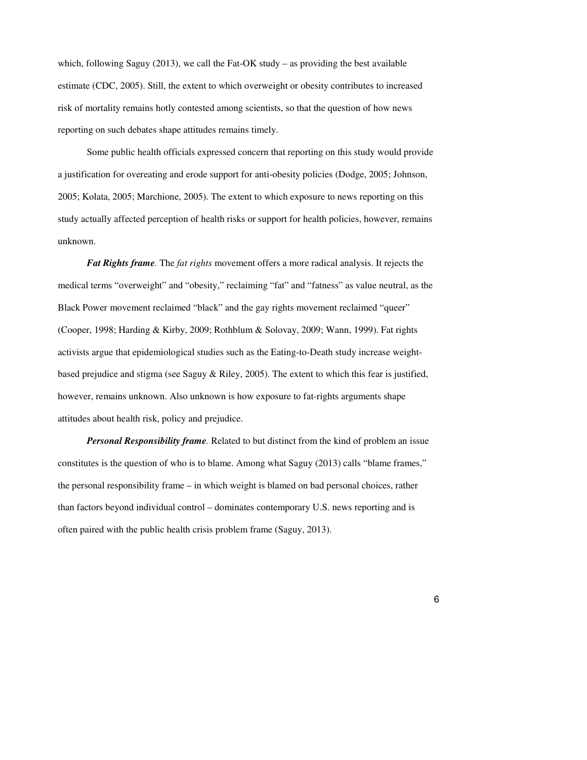which, following Saguy (2013), we call the Fat-OK study – as providing the best available estimate (CDC, 2005). Still, the extent to which overweight or obesity contributes to increased risk of mortality remains hotly contested among scientists, so that the question of how news reporting on such debates shape attitudes remains timely.

Some public health officials expressed concern that reporting on this study would provide a justification for overeating and erode support for anti-obesity policies (Dodge, 2005; Johnson, 2005; Kolata, 2005; Marchione, 2005). The extent to which exposure to news reporting on this study actually affected perception of health risks or support for health policies, however, remains unknown.

*Fat Rights frame.* The *fat rights* movement offers a more radical analysis. It rejects the medical terms "overweight" and "obesity," reclaiming "fat" and "fatness" as value neutral, as the Black Power movement reclaimed "black" and the gay rights movement reclaimed "queer" (Cooper, 1998; Harding & Kirby, 2009; Rothblum & Solovay, 2009; Wann, 1999). Fat rights activists argue that epidemiological studies such as the Eating-to-Death study increase weightbased prejudice and stigma (see Saguy  $\&$  Riley, 2005). The extent to which this fear is justified, however, remains unknown. Also unknown is how exposure to fat-rights arguments shape attitudes about health risk, policy and prejudice.

*Personal Responsibility frame.* Related to but distinct from the kind of problem an issue constitutes is the question of who is to blame. Among what Saguy (2013) calls "blame frames," the personal responsibility frame – in which weight is blamed on bad personal choices, rather than factors beyond individual control – dominates contemporary U.S. news reporting and is often paired with the public health crisis problem frame (Saguy, 2013).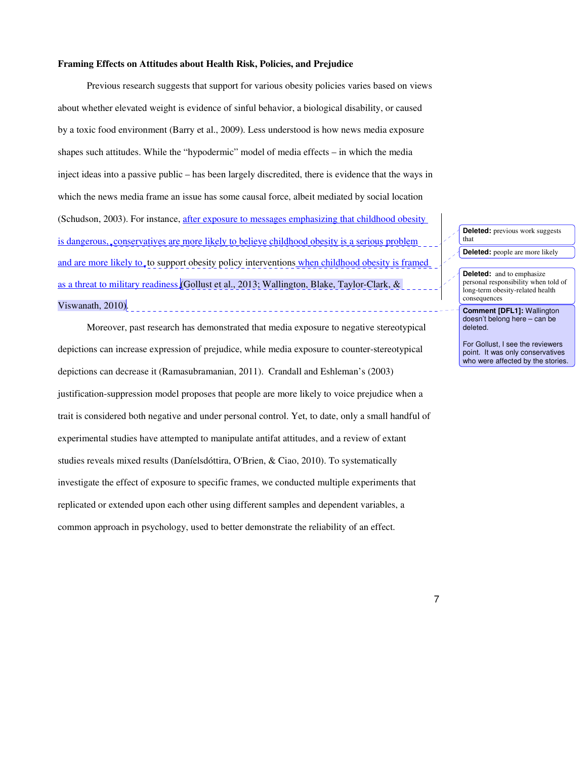#### **Framing Effects on Attitudes about Health Risk, Policies, and Prejudice**

Previous research suggests that support for various obesity policies varies based on views about whether elevated weight is evidence of sinful behavior, a biological disability, or caused by a toxic food environment (Barry et al., 2009). Less understood is how news media exposure shapes such attitudes. While the "hypodermic" model of media effects – in which the media inject ideas into a passive public – has been largely discredited, there is evidence that the ways in which the news media frame an issue has some causal force, albeit mediated by social location (Schudson, 2003). For instance, <u>after exposure to messages emphasizing that childhood obesity</u> is dangerous, conservatives are more likely to believe childhood obesity is a serious problem and are more likely to, to support obesity policy interventions when childhood obesity is framed as a threat to military readiness (Gollust et al., 2013; Wallington, Blake, Taylor-Clark, & Viswanath, 2010).

Moreover, past research has demonstrated that media exposure to negative stereotypical depictions can increase expression of prejudice, while media exposure to counter-stereotypical depictions can decrease it (Ramasubramanian, 2011). Crandall and Eshleman's (2003) justification-suppression model proposes that people are more likely to voice prejudice when a trait is considered both negative and under personal control. Yet, to date, only a small handful of experimental studies have attempted to manipulate antifat attitudes, and a review of extant studies reveals mixed results (Daníelsdóttira, O'Brien, & Ciao, 2010). To systematically investigate the effect of exposure to specific frames, we conducted multiple experiments that replicated or extended upon each other using different samples and dependent variables, a common approach in psychology, used to better demonstrate the reliability of an effect.

**Deleted:** previous work suggests that **Deleted:** people are more likely

**Deleted:** and to emphasize personal responsibility when told of long-term obesity-related health consequences

**Comment [DFL1]:** Wallington doesn't belong here – can be deleted.

For Gollust, I see the reviewers point. It was only conservatives who were affected by the stories.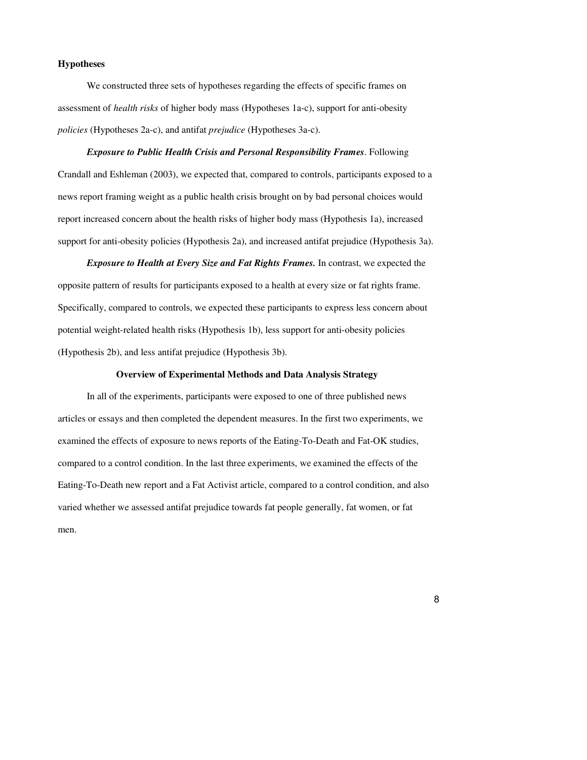#### **Hypotheses**

We constructed three sets of hypotheses regarding the effects of specific frames on assessment of *health risks* of higher body mass (Hypotheses 1a-c), support for anti-obesity *policies* (Hypotheses 2a-c), and antifat *prejudice* (Hypotheses 3a-c).

*Exposure to Public Health Crisis and Personal Responsibility Frames*. Following Crandall and Eshleman (2003), we expected that, compared to controls, participants exposed to a news report framing weight as a public health crisis brought on by bad personal choices would report increased concern about the health risks of higher body mass (Hypothesis 1a), increased support for anti-obesity policies (Hypothesis 2a), and increased antifat prejudice (Hypothesis 3a).

*Exposure to Health at Every Size and Fat Rights Frames.* In contrast, we expected the opposite pattern of results for participants exposed to a health at every size or fat rights frame. Specifically, compared to controls, we expected these participants to express less concern about potential weight-related health risks (Hypothesis 1b), less support for anti-obesity policies (Hypothesis 2b), and less antifat prejudice (Hypothesis 3b).

#### **Overview of Experimental Methods and Data Analysis Strategy**

In all of the experiments, participants were exposed to one of three published news articles or essays and then completed the dependent measures. In the first two experiments, we examined the effects of exposure to news reports of the Eating-To-Death and Fat-OK studies, compared to a control condition. In the last three experiments, we examined the effects of the Eating-To-Death new report and a Fat Activist article, compared to a control condition, and also varied whether we assessed antifat prejudice towards fat people generally, fat women, or fat men.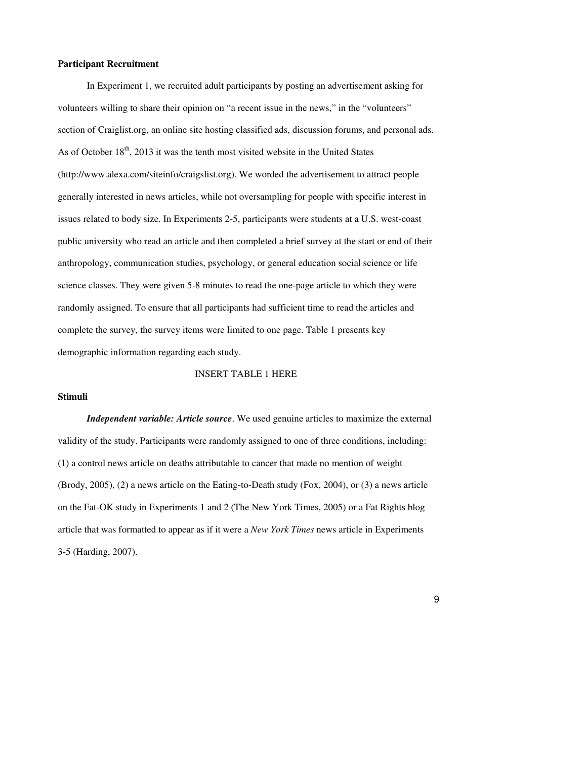#### **Participant Recruitment**

In Experiment 1, we recruited adult participants by posting an advertisement asking for volunteers willing to share their opinion on "a recent issue in the news," in the "volunteers" section of Craiglist.org, an online site hosting classified ads, discussion forums, and personal ads. As of October  $18<sup>th</sup>$ , 2013 it was the tenth most visited website in the United States (http://www.alexa.com/siteinfo/craigslist.org). We worded the advertisement to attract people generally interested in news articles, while not oversampling for people with specific interest in issues related to body size. In Experiments 2-5, participants were students at a U.S. west-coast public university who read an article and then completed a brief survey at the start or end of their anthropology, communication studies, psychology, or general education social science or life science classes. They were given 5-8 minutes to read the one-page article to which they were randomly assigned. To ensure that all participants had sufficient time to read the articles and complete the survey, the survey items were limited to one page. Table 1 presents key demographic information regarding each study.

#### INSERT TABLE 1 HERE

#### **Stimuli**

*Independent variable: Article source*. We used genuine articles to maximize the external validity of the study. Participants were randomly assigned to one of three conditions, including: (1) a control news article on deaths attributable to cancer that made no mention of weight (Brody, 2005), (2) a news article on the Eating-to-Death study (Fox, 2004), or (3) a news article on the Fat-OK study in Experiments 1 and 2 (The New York Times, 2005) or a Fat Rights blog article that was formatted to appear as if it were a *New York Times* news article in Experiments 3-5 (Harding, 2007).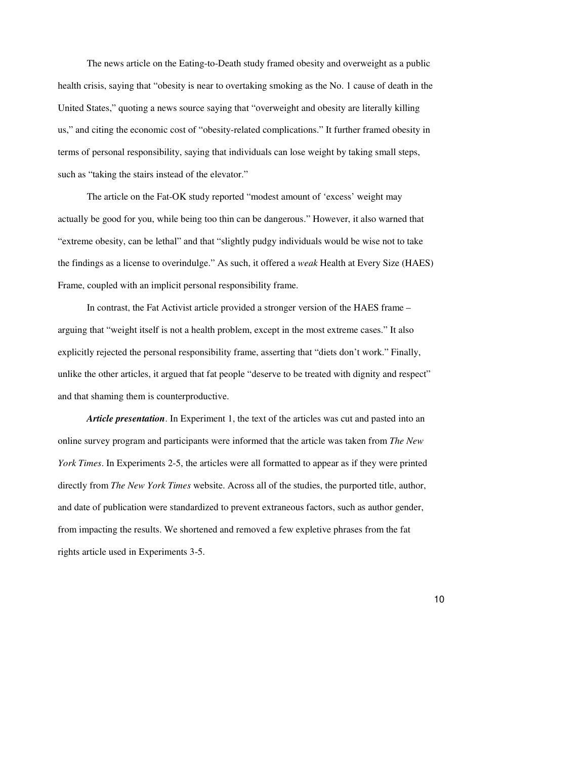The news article on the Eating-to-Death study framed obesity and overweight as a public health crisis, saying that "obesity is near to overtaking smoking as the No. 1 cause of death in the United States," quoting a news source saying that "overweight and obesity are literally killing us," and citing the economic cost of "obesity-related complications." It further framed obesity in terms of personal responsibility, saying that individuals can lose weight by taking small steps, such as "taking the stairs instead of the elevator."

The article on the Fat-OK study reported "modest amount of 'excess' weight may actually be good for you, while being too thin can be dangerous." However, it also warned that "extreme obesity, can be lethal" and that "slightly pudgy individuals would be wise not to take the findings as a license to overindulge." As such, it offered a *weak* Health at Every Size (HAES) Frame, coupled with an implicit personal responsibility frame.

In contrast, the Fat Activist article provided a stronger version of the HAES frame – arguing that "weight itself is not a health problem, except in the most extreme cases." It also explicitly rejected the personal responsibility frame, asserting that "diets don't work." Finally, unlike the other articles, it argued that fat people "deserve to be treated with dignity and respect" and that shaming them is counterproductive.

*Article presentation*. In Experiment 1, the text of the articles was cut and pasted into an online survey program and participants were informed that the article was taken from *The New York Times*. In Experiments 2-5, the articles were all formatted to appear as if they were printed directly from *The New York Times* website. Across all of the studies, the purported title, author, and date of publication were standardized to prevent extraneous factors, such as author gender, from impacting the results. We shortened and removed a few expletive phrases from the fat rights article used in Experiments 3-5.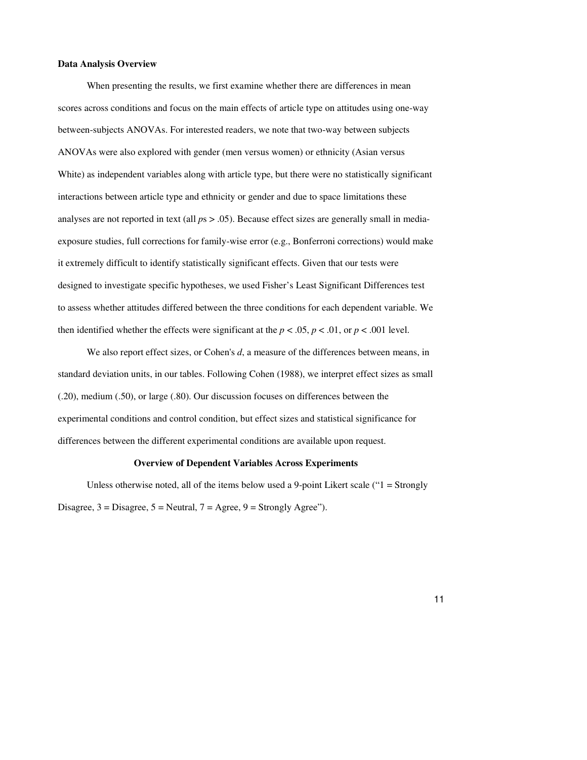#### **Data Analysis Overview**

When presenting the results, we first examine whether there are differences in mean scores across conditions and focus on the main effects of article type on attitudes using one-way between-subjects ANOVAs. For interested readers, we note that two-way between subjects ANOVAs were also explored with gender (men versus women) or ethnicity (Asian versus White) as independent variables along with article type, but there were no statistically significant interactions between article type and ethnicity or gender and due to space limitations these analyses are not reported in text (all  $ps > .05$ ). Because effect sizes are generally small in mediaexposure studies, full corrections for family-wise error (e.g., Bonferroni corrections) would make it extremely difficult to identify statistically significant effects. Given that our tests were designed to investigate specific hypotheses, we used Fisher's Least Significant Differences test to assess whether attitudes differed between the three conditions for each dependent variable. We then identified whether the effects were significant at the  $p < .05$ ,  $p < .01$ , or  $p < .001$  level.

We also report effect sizes, or Cohen's *d*, a measure of the differences between means, in standard deviation units, in our tables. Following Cohen (1988), we interpret effect sizes as small (.20), medium (.50), or large (.80). Our discussion focuses on differences between the experimental conditions and control condition, but effect sizes and statistical significance for differences between the different experimental conditions are available upon request.

#### **Overview of Dependent Variables Across Experiments**

Unless otherwise noted, all of the items below used a 9-point Likert scale ("1 = Strongly Disagree,  $3 = Disagree$ ,  $5 = Neutral$ ,  $7 = Agree$ ,  $9 = Strongly Agee$ ").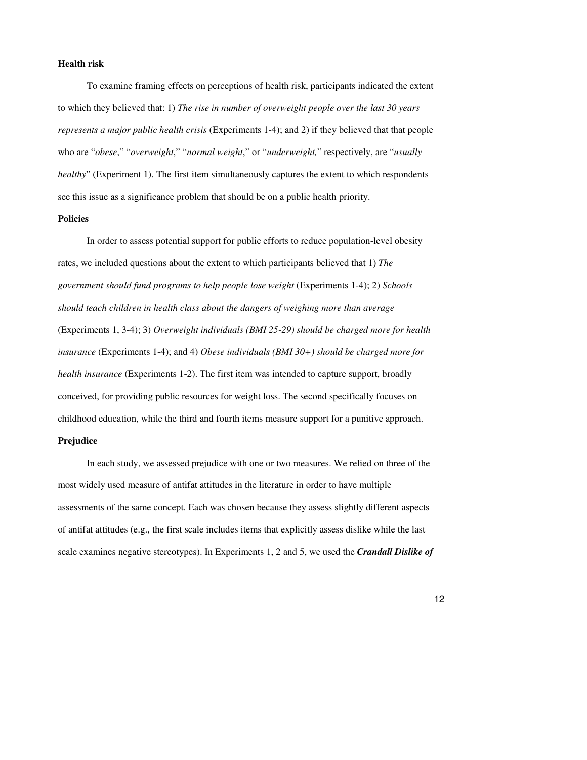#### **Health risk**

To examine framing effects on perceptions of health risk, participants indicated the extent to which they believed that: 1) *The rise in number of overweight people over the last 30 years represents a major public health crisis* (Experiments 1-4); and 2) if they believed that that people who are "*obese*," "*overweight*," "*normal weight*," or "*underweight,*" respectively, are "*usually healthy*" (Experiment 1). The first item simultaneously captures the extent to which respondents see this issue as a significance problem that should be on a public health priority.

#### **Policies**

In order to assess potential support for public efforts to reduce population-level obesity rates, we included questions about the extent to which participants believed that 1) *The government should fund programs to help people lose weight* (Experiments 1-4); 2) *Schools should teach children in health class about the dangers of weighing more than average* (Experiments 1, 3-4); 3) *Overweight individuals (BMI 25-29) should be charged more for health insurance* (Experiments 1-4); and 4) *Obese individuals (BMI 30+) should be charged more for health insurance* (Experiments 1-2). The first item was intended to capture support, broadly conceived, for providing public resources for weight loss. The second specifically focuses on childhood education, while the third and fourth items measure support for a punitive approach.

#### **Prejudice**

In each study, we assessed prejudice with one or two measures. We relied on three of the most widely used measure of antifat attitudes in the literature in order to have multiple assessments of the same concept. Each was chosen because they assess slightly different aspects of antifat attitudes (e.g., the first scale includes items that explicitly assess dislike while the last scale examines negative stereotypes). In Experiments 1, 2 and 5, we used the *Crandall Dislike of*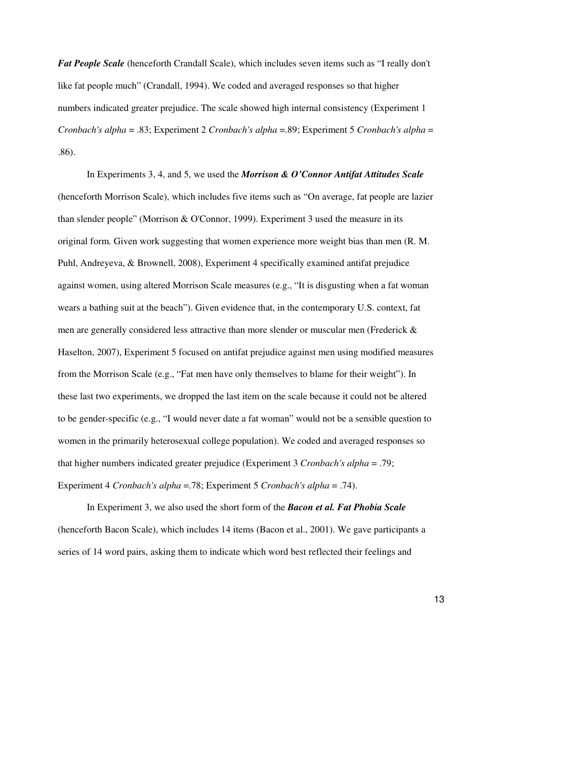*Fat People Scale* (henceforth Crandall Scale), which includes seven items such as "I really don't like fat people much" (Crandall, 1994). We coded and averaged responses so that higher numbers indicated greater prejudice. The scale showed high internal consistency (Experiment 1 *Cronbach's alpha* = .83; Experiment 2 *Cronbach's alpha* =.89; Experiment 5 *Cronbach's alpha* = .86).

In Experiments 3, 4, and 5, we used the *Morrison & O'Connor Antifat Attitudes Scale* (henceforth Morrison Scale), which includes five items such as "On average, fat people are lazier than slender people" (Morrison & O'Connor, 1999). Experiment 3 used the measure in its original form. Given work suggesting that women experience more weight bias than men (R. M. Puhl, Andreyeva, & Brownell, 2008), Experiment 4 specifically examined antifat prejudice against women, using altered Morrison Scale measures (e.g., "It is disgusting when a fat woman wears a bathing suit at the beach"). Given evidence that, in the contemporary U.S. context, fat men are generally considered less attractive than more slender or muscular men (Frederick & Haselton, 2007), Experiment 5 focused on antifat prejudice against men using modified measures from the Morrison Scale (e.g., "Fat men have only themselves to blame for their weight"). In these last two experiments, we dropped the last item on the scale because it could not be altered to be gender-specific (e.g., "I would never date a fat woman" would not be a sensible question to women in the primarily heterosexual college population). We coded and averaged responses so that higher numbers indicated greater prejudice (Experiment 3 *Cronbach's alpha* = .79; Experiment 4 *Cronbach's alpha* =.78; Experiment 5 *Cronbach's alpha* = .74).

In Experiment 3, we also used the short form of the *Bacon et al. Fat Phobia Scale* (henceforth Bacon Scale), which includes 14 items (Bacon et al., 2001). We gave participants a series of 14 word pairs, asking them to indicate which word best reflected their feelings and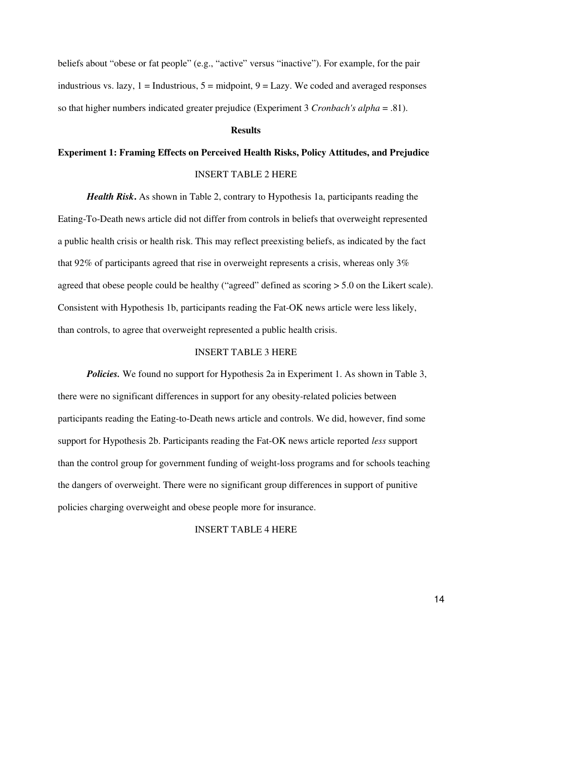beliefs about "obese or fat people" (e.g., "active" versus "inactive"). For example, for the pair industrious vs. lazy,  $1 =$  Industrious,  $5 =$  midpoint,  $9 =$  Lazy. We coded and averaged responses so that higher numbers indicated greater prejudice (Experiment 3 *Cronbach's alpha* = .81).

#### **Results**

## **Experiment 1: Framing Effects on Perceived Health Risks, Policy Attitudes, and Prejudice**  INSERT TABLE 2 HERE

*Health Risk***.** As shown in Table 2, contrary to Hypothesis 1a, participants reading the Eating-To-Death news article did not differ from controls in beliefs that overweight represented a public health crisis or health risk. This may reflect preexisting beliefs, as indicated by the fact that 92% of participants agreed that rise in overweight represents a crisis, whereas only 3% agreed that obese people could be healthy ("agreed" defined as scoring > 5.0 on the Likert scale). Consistent with Hypothesis 1b, participants reading the Fat-OK news article were less likely, than controls, to agree that overweight represented a public health crisis.

#### INSERT TABLE 3 HERE

*Policies.* We found no support for Hypothesis 2a in Experiment 1. As shown in Table 3, there were no significant differences in support for any obesity-related policies between participants reading the Eating-to-Death news article and controls. We did, however, find some support for Hypothesis 2b. Participants reading the Fat-OK news article reported *less* support than the control group for government funding of weight-loss programs and for schools teaching the dangers of overweight. There were no significant group differences in support of punitive policies charging overweight and obese people more for insurance.

#### INSERT TABLE 4 HERE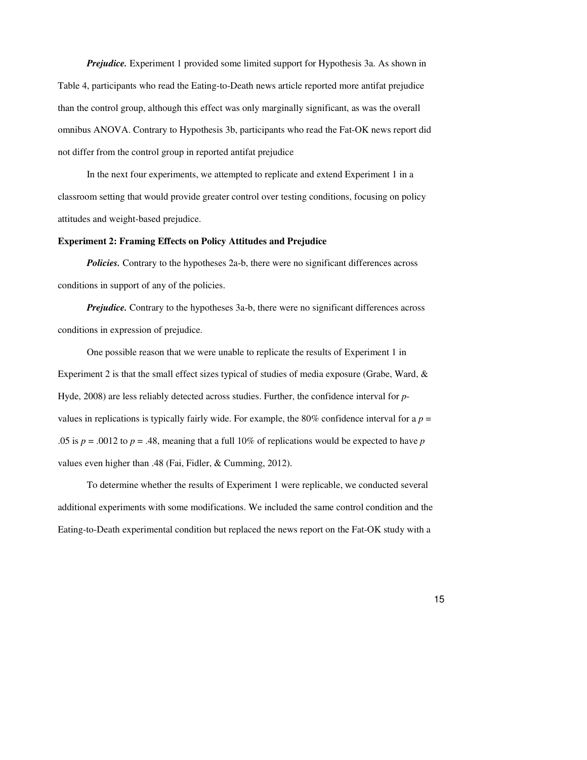*Prejudice.* Experiment 1 provided some limited support for Hypothesis 3a. As shown in Table 4, participants who read the Eating-to-Death news article reported more antifat prejudice than the control group, although this effect was only marginally significant, as was the overall omnibus ANOVA. Contrary to Hypothesis 3b, participants who read the Fat-OK news report did not differ from the control group in reported antifat prejudice

In the next four experiments, we attempted to replicate and extend Experiment 1 in a classroom setting that would provide greater control over testing conditions, focusing on policy attitudes and weight-based prejudice.

#### **Experiment 2: Framing Effects on Policy Attitudes and Prejudice**

*Policies*. Contrary to the hypotheses 2a-b, there were no significant differences across conditions in support of any of the policies.

*Prejudice.* Contrary to the hypotheses 3a-b, there were no significant differences across conditions in expression of prejudice.

One possible reason that we were unable to replicate the results of Experiment 1 in Experiment 2 is that the small effect sizes typical of studies of media exposure (Grabe, Ward, & Hyde, 2008) are less reliably detected across studies. Further, the confidence interval for *p*values in replications is typically fairly wide. For example, the 80% confidence interval for a  $p =$ .05 is  $p = 0.0012$  to  $p = 0.48$ , meaning that a full 10% of replications would be expected to have p values even higher than .48 (Fai, Fidler, & Cumming, 2012).

To determine whether the results of Experiment 1 were replicable, we conducted several additional experiments with some modifications. We included the same control condition and the Eating-to-Death experimental condition but replaced the news report on the Fat-OK study with a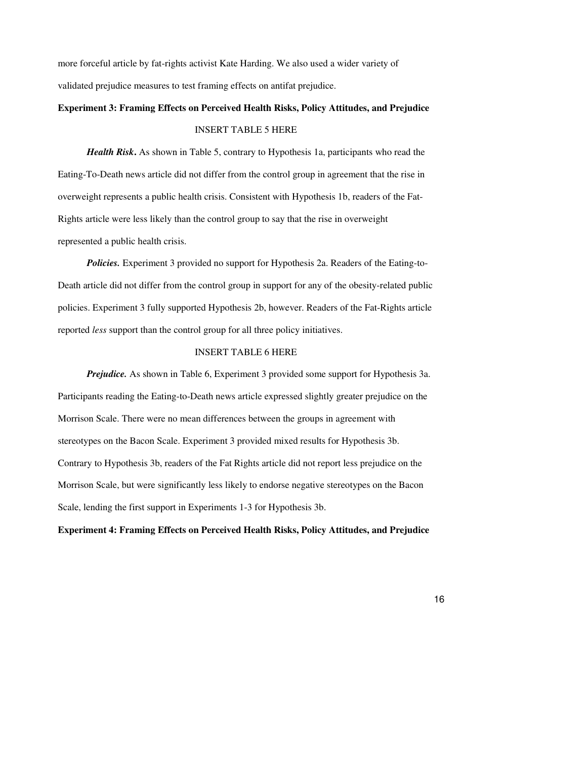more forceful article by fat-rights activist Kate Harding. We also used a wider variety of validated prejudice measures to test framing effects on antifat prejudice.

### **Experiment 3: Framing Effects on Perceived Health Risks, Policy Attitudes, and Prejudice**  INSERT TABLE 5 HERE

*Health Risk***.** As shown in Table 5, contrary to Hypothesis 1a, participants who read the Eating-To-Death news article did not differ from the control group in agreement that the rise in overweight represents a public health crisis. Consistent with Hypothesis 1b, readers of the Fat-Rights article were less likely than the control group to say that the rise in overweight represented a public health crisis.

*Policies.* Experiment 3 provided no support for Hypothesis 2a. Readers of the Eating-to-Death article did not differ from the control group in support for any of the obesity-related public policies. Experiment 3 fully supported Hypothesis 2b, however. Readers of the Fat-Rights article reported *less* support than the control group for all three policy initiatives.

#### INSERT TABLE 6 HERE

*Prejudice.* As shown in Table 6, Experiment 3 provided some support for Hypothesis 3a. Participants reading the Eating-to-Death news article expressed slightly greater prejudice on the Morrison Scale. There were no mean differences between the groups in agreement with stereotypes on the Bacon Scale. Experiment 3 provided mixed results for Hypothesis 3b. Contrary to Hypothesis 3b, readers of the Fat Rights article did not report less prejudice on the Morrison Scale, but were significantly less likely to endorse negative stereotypes on the Bacon Scale, lending the first support in Experiments 1-3 for Hypothesis 3b.

#### **Experiment 4: Framing Effects on Perceived Health Risks, Policy Attitudes, and Prejudice**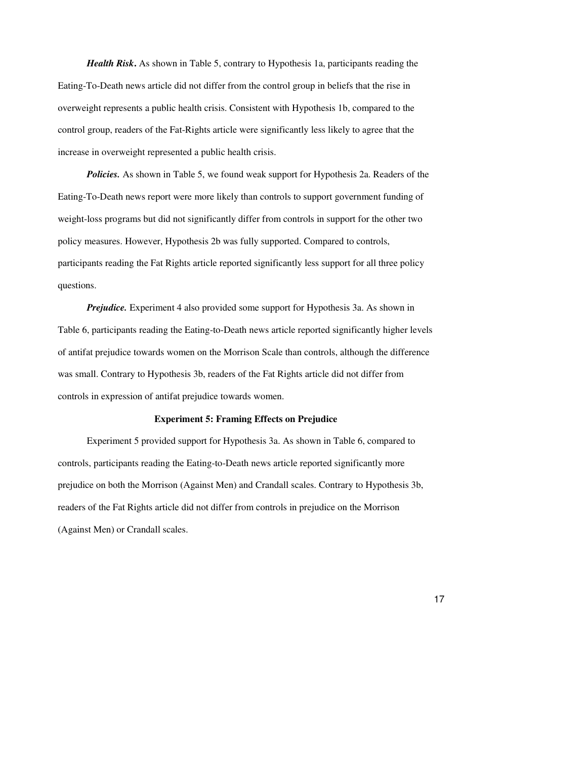*Health Risk***.** As shown in Table 5, contrary to Hypothesis 1a, participants reading the Eating-To-Death news article did not differ from the control group in beliefs that the rise in overweight represents a public health crisis. Consistent with Hypothesis 1b, compared to the control group, readers of the Fat-Rights article were significantly less likely to agree that the increase in overweight represented a public health crisis.

*Policies.* As shown in Table 5, we found weak support for Hypothesis 2a. Readers of the Eating-To-Death news report were more likely than controls to support government funding of weight-loss programs but did not significantly differ from controls in support for the other two policy measures. However, Hypothesis 2b was fully supported. Compared to controls, participants reading the Fat Rights article reported significantly less support for all three policy questions.

*Prejudice.* Experiment 4 also provided some support for Hypothesis 3a. As shown in Table 6, participants reading the Eating-to-Death news article reported significantly higher levels of antifat prejudice towards women on the Morrison Scale than controls, although the difference was small. Contrary to Hypothesis 3b, readers of the Fat Rights article did not differ from controls in expression of antifat prejudice towards women.

#### **Experiment 5: Framing Effects on Prejudice**

Experiment 5 provided support for Hypothesis 3a. As shown in Table 6, compared to controls, participants reading the Eating-to-Death news article reported significantly more prejudice on both the Morrison (Against Men) and Crandall scales. Contrary to Hypothesis 3b, readers of the Fat Rights article did not differ from controls in prejudice on the Morrison (Against Men) or Crandall scales.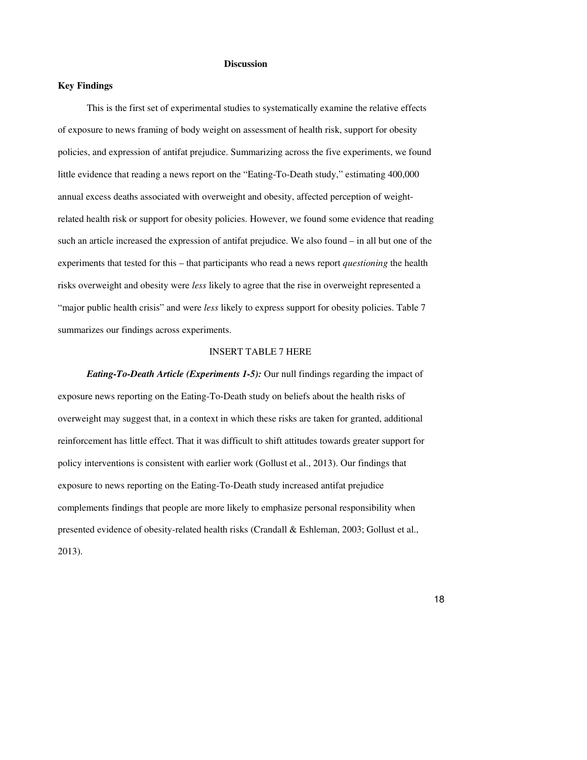#### **Discussion**

#### **Key Findings**

This is the first set of experimental studies to systematically examine the relative effects of exposure to news framing of body weight on assessment of health risk, support for obesity policies, and expression of antifat prejudice. Summarizing across the five experiments, we found little evidence that reading a news report on the "Eating-To-Death study," estimating 400,000 annual excess deaths associated with overweight and obesity, affected perception of weightrelated health risk or support for obesity policies. However, we found some evidence that reading such an article increased the expression of antifat prejudice. We also found – in all but one of the experiments that tested for this – that participants who read a news report *questioning* the health risks overweight and obesity were *less* likely to agree that the rise in overweight represented a "major public health crisis" and were *less* likely to express support for obesity policies. Table 7 summarizes our findings across experiments.

#### INSERT TABLE 7 HERE

*Eating-To-Death Article (Experiments 1-5):* Our null findings regarding the impact of exposure news reporting on the Eating-To-Death study on beliefs about the health risks of overweight may suggest that, in a context in which these risks are taken for granted, additional reinforcement has little effect. That it was difficult to shift attitudes towards greater support for policy interventions is consistent with earlier work (Gollust et al., 2013). Our findings that exposure to news reporting on the Eating-To-Death study increased antifat prejudice complements findings that people are more likely to emphasize personal responsibility when presented evidence of obesity-related health risks (Crandall & Eshleman, 2003; Gollust et al., 2013).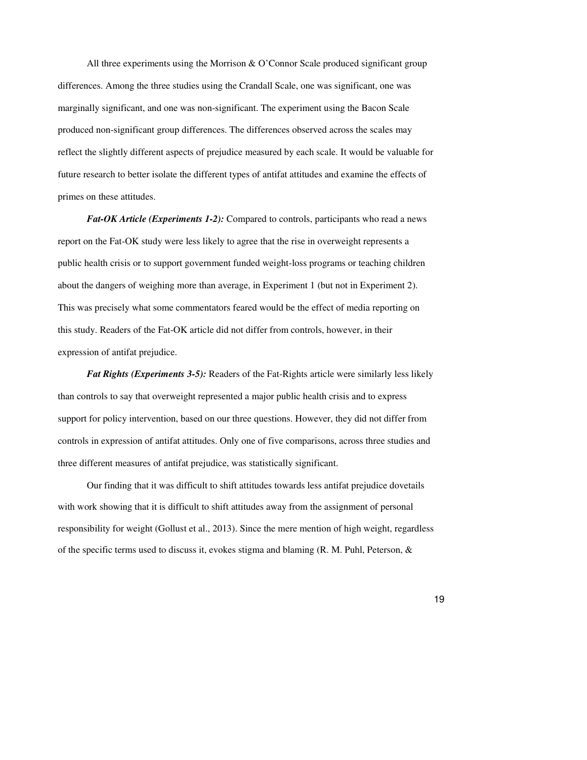All three experiments using the Morrison & O'Connor Scale produced significant group differences. Among the three studies using the Crandall Scale, one was significant, one was marginally significant, and one was non-significant. The experiment using the Bacon Scale produced non-significant group differences. The differences observed across the scales may reflect the slightly different aspects of prejudice measured by each scale. It would be valuable for future research to better isolate the different types of antifat attitudes and examine the effects of primes on these attitudes.

*Fat-OK Article (Experiments 1-2):* Compared to controls, participants who read a news report on the Fat-OK study were less likely to agree that the rise in overweight represents a public health crisis or to support government funded weight-loss programs or teaching children about the dangers of weighing more than average, in Experiment 1 (but not in Experiment 2). This was precisely what some commentators feared would be the effect of media reporting on this study. Readers of the Fat-OK article did not differ from controls, however, in their expression of antifat prejudice.

*Fat Rights (Experiments 3-5):* Readers of the Fat-Rights article were similarly less likely than controls to say that overweight represented a major public health crisis and to express support for policy intervention, based on our three questions. However, they did not differ from controls in expression of antifat attitudes. Only one of five comparisons, across three studies and three different measures of antifat prejudice, was statistically significant.

Our finding that it was difficult to shift attitudes towards less antifat prejudice dovetails with work showing that it is difficult to shift attitudes away from the assignment of personal responsibility for weight (Gollust et al., 2013). Since the mere mention of high weight, regardless of the specific terms used to discuss it, evokes stigma and blaming  $(R. M. Puhl, Peterson, &$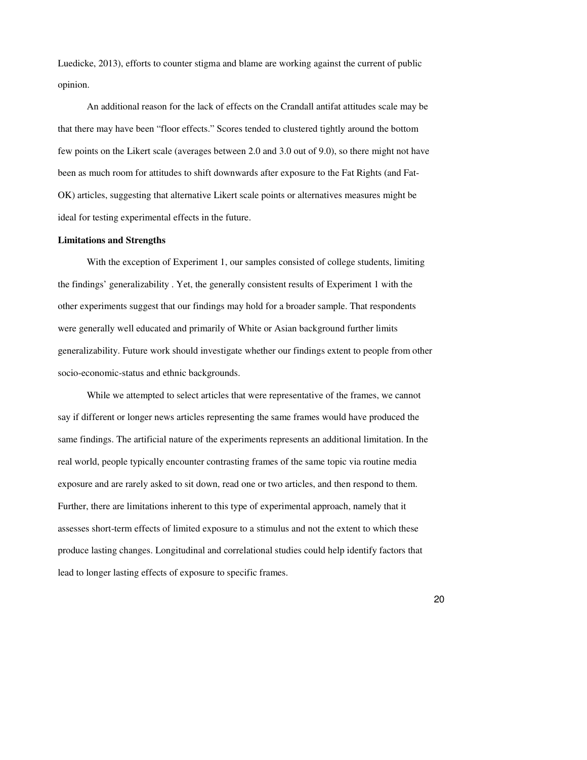Luedicke, 2013), efforts to counter stigma and blame are working against the current of public opinion.

An additional reason for the lack of effects on the Crandall antifat attitudes scale may be that there may have been "floor effects." Scores tended to clustered tightly around the bottom few points on the Likert scale (averages between 2.0 and 3.0 out of 9.0), so there might not have been as much room for attitudes to shift downwards after exposure to the Fat Rights (and Fat-OK) articles, suggesting that alternative Likert scale points or alternatives measures might be ideal for testing experimental effects in the future.

#### **Limitations and Strengths**

With the exception of Experiment 1, our samples consisted of college students, limiting the findings' generalizability . Yet, the generally consistent results of Experiment 1 with the other experiments suggest that our findings may hold for a broader sample. That respondents were generally well educated and primarily of White or Asian background further limits generalizability. Future work should investigate whether our findings extent to people from other socio-economic-status and ethnic backgrounds.

While we attempted to select articles that were representative of the frames, we cannot say if different or longer news articles representing the same frames would have produced the same findings. The artificial nature of the experiments represents an additional limitation. In the real world, people typically encounter contrasting frames of the same topic via routine media exposure and are rarely asked to sit down, read one or two articles, and then respond to them. Further, there are limitations inherent to this type of experimental approach, namely that it assesses short-term effects of limited exposure to a stimulus and not the extent to which these produce lasting changes. Longitudinal and correlational studies could help identify factors that lead to longer lasting effects of exposure to specific frames.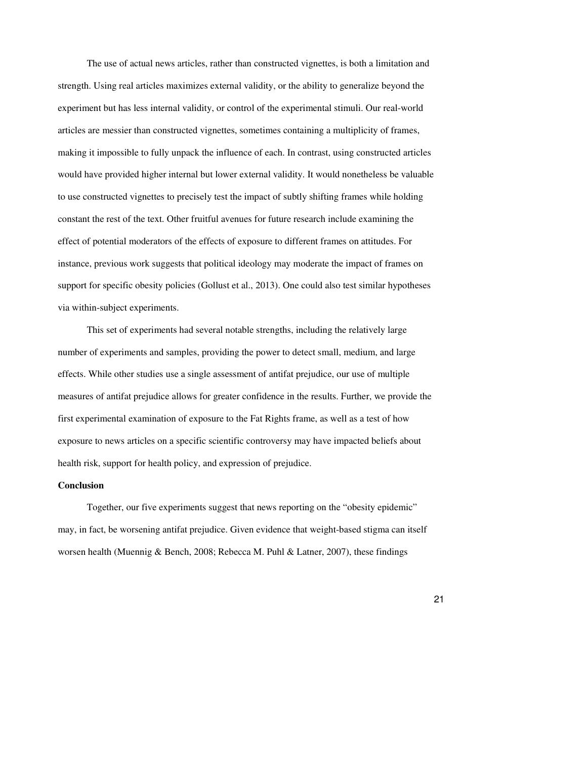The use of actual news articles, rather than constructed vignettes, is both a limitation and strength. Using real articles maximizes external validity, or the ability to generalize beyond the experiment but has less internal validity, or control of the experimental stimuli. Our real-world articles are messier than constructed vignettes, sometimes containing a multiplicity of frames, making it impossible to fully unpack the influence of each. In contrast, using constructed articles would have provided higher internal but lower external validity. It would nonetheless be valuable to use constructed vignettes to precisely test the impact of subtly shifting frames while holding constant the rest of the text. Other fruitful avenues for future research include examining the effect of potential moderators of the effects of exposure to different frames on attitudes. For instance, previous work suggests that political ideology may moderate the impact of frames on support for specific obesity policies (Gollust et al., 2013). One could also test similar hypotheses via within-subject experiments.

 This set of experiments had several notable strengths, including the relatively large number of experiments and samples, providing the power to detect small, medium, and large effects. While other studies use a single assessment of antifat prejudice, our use of multiple measures of antifat prejudice allows for greater confidence in the results. Further, we provide the first experimental examination of exposure to the Fat Rights frame, as well as a test of how exposure to news articles on a specific scientific controversy may have impacted beliefs about health risk, support for health policy, and expression of prejudice.

#### **Conclusion**

Together, our five experiments suggest that news reporting on the "obesity epidemic" may, in fact, be worsening antifat prejudice. Given evidence that weight-based stigma can itself worsen health (Muennig & Bench, 2008; Rebecca M. Puhl & Latner, 2007), these findings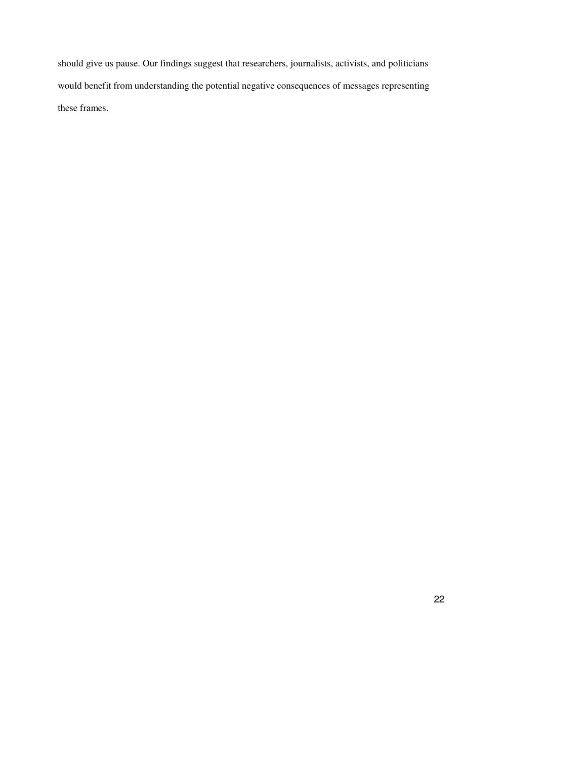should give us pause. Our findings suggest that researchers, journalists, activists, and politicians would benefit from understanding the potential negative consequences of messages representing these frames.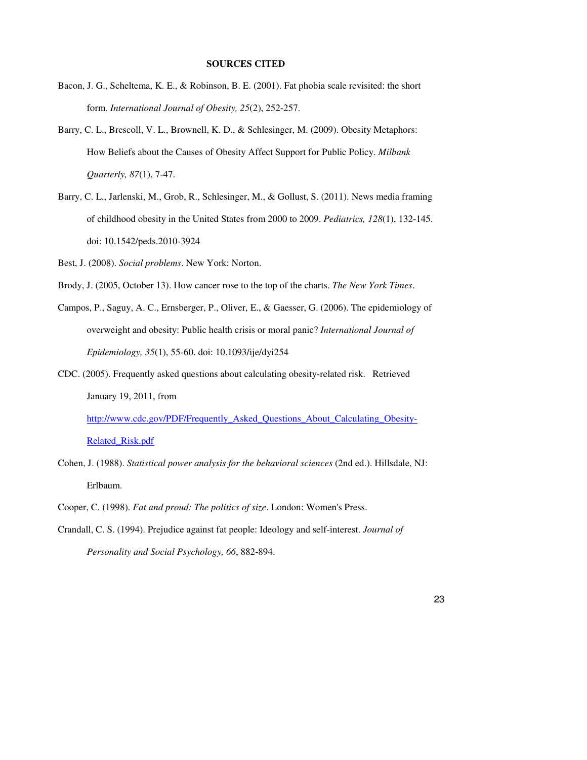#### **SOURCES CITED**

- Bacon, J. G., Scheltema, K. E., & Robinson, B. E. (2001). Fat phobia scale revisited: the short form. *International Journal of Obesity, 25*(2), 252-257.
- Barry, C. L., Brescoll, V. L., Brownell, K. D., & Schlesinger, M. (2009). Obesity Metaphors: How Beliefs about the Causes of Obesity Affect Support for Public Policy. *Milbank Quarterly, 87*(1), 7-47.
- Barry, C. L., Jarlenski, M., Grob, R., Schlesinger, M., & Gollust, S. (2011). News media framing of childhood obesity in the United States from 2000 to 2009. *Pediatrics, 128*(1), 132-145. doi: 10.1542/peds.2010-3924
- Best, J. (2008). *Social problems*. New York: Norton.
- Brody, J. (2005, October 13). How cancer rose to the top of the charts. *The New York Times*.
- Campos, P., Saguy, A. C., Ernsberger, P., Oliver, E., & Gaesser, G. (2006). The epidemiology of overweight and obesity: Public health crisis or moral panic? *International Journal of Epidemiology, 35*(1), 55-60. doi: 10.1093/ije/dyi254
- CDC. (2005). Frequently asked questions about calculating obesity-related risk. Retrieved January 19, 2011, from http://www.cdc.gov/PDF/Frequently\_Asked\_Questions\_About\_Calculating\_Obesity-

Related\_Risk.pdf

- Cohen, J. (1988). *Statistical power analysis for the behavioral sciences* (2nd ed.). Hillsdale, NJ: Erlbaum.
- Cooper, C. (1998). *Fat and proud: The politics of size*. London: Women's Press.
- Crandall, C. S. (1994). Prejudice against fat people: Ideology and self-interest. *Journal of Personality and Social Psychology, 66*, 882-894.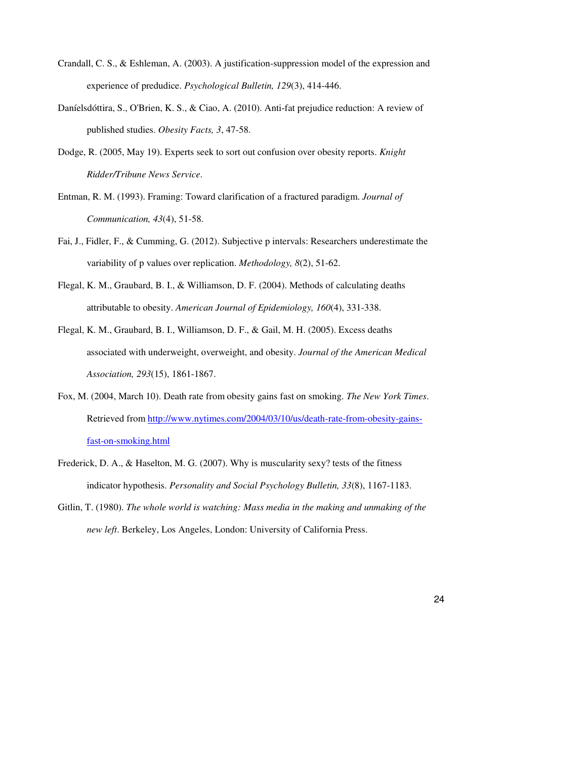- Crandall, C. S., & Eshleman, A. (2003). A justification-suppression model of the expression and experience of predudice. *Psychological Bulletin, 129*(3), 414-446.
- Daníelsdóttira, S., O'Brien, K. S., & Ciao, A. (2010). Anti-fat prejudice reduction: A review of published studies. *Obesity Facts, 3*, 47-58.
- Dodge, R. (2005, May 19). Experts seek to sort out confusion over obesity reports. *Knight Ridder/Tribune News Service*.
- Entman, R. M. (1993). Framing: Toward clarification of a fractured paradigm. *Journal of Communication, 43*(4), 51-58.
- Fai, J., Fidler, F., & Cumming, G. (2012). Subjective p intervals: Researchers underestimate the variability of p values over replication. *Methodology, 8*(2), 51-62.
- Flegal, K. M., Graubard, B. I., & Williamson, D. F. (2004). Methods of calculating deaths attributable to obesity. *American Journal of Epidemiology, 160*(4), 331-338.
- Flegal, K. M., Graubard, B. I., Williamson, D. F., & Gail, M. H. (2005). Excess deaths associated with underweight, overweight, and obesity. *Journal of the American Medical Association, 293*(15), 1861-1867.
- Fox, M. (2004, March 10). Death rate from obesity gains fast on smoking. *The New York Times*. Retrieved from http://www.nytimes.com/2004/03/10/us/death-rate-from-obesity-gainsfast-on-smoking.html
- Frederick, D. A., & Haselton, M. G. (2007). Why is muscularity sexy? tests of the fitness indicator hypothesis. *Personality and Social Psychology Bulletin, 33*(8), 1167-1183.
- Gitlin, T. (1980). *The whole world is watching: Mass media in the making and unmaking of the new left*. Berkeley, Los Angeles, London: University of California Press.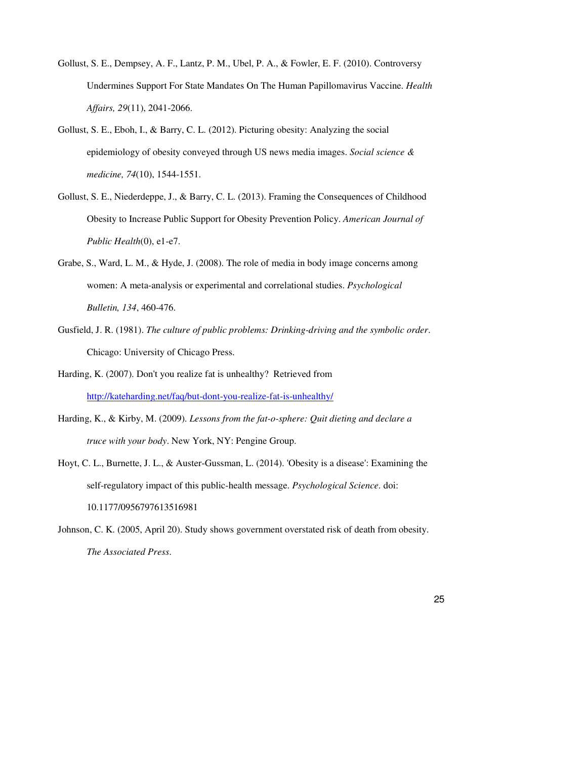- Gollust, S. E., Dempsey, A. F., Lantz, P. M., Ubel, P. A., & Fowler, E. F. (2010). Controversy Undermines Support For State Mandates On The Human Papillomavirus Vaccine. *Health Affairs, 29*(11), 2041-2066.
- Gollust, S. E., Eboh, I., & Barry, C. L. (2012). Picturing obesity: Analyzing the social epidemiology of obesity conveyed through US news media images. *Social science & medicine, 74*(10), 1544-1551.
- Gollust, S. E., Niederdeppe, J., & Barry, C. L. (2013). Framing the Consequences of Childhood Obesity to Increase Public Support for Obesity Prevention Policy. *American Journal of Public Health*(0), e1-e7.
- Grabe, S., Ward, L. M., & Hyde, J. (2008). The role of media in body image concerns among women: A meta-analysis or experimental and correlational studies. *Psychological Bulletin, 134*, 460-476.
- Gusfield, J. R. (1981). *The culture of public problems: Drinking-driving and the symbolic order*. Chicago: University of Chicago Press.
- Harding, K. (2007). Don't you realize fat is unhealthy? Retrieved from http://kateharding.net/faq/but-dont-you-realize-fat-is-unhealthy/
- Harding, K., & Kirby, M. (2009). *Lessons from the fat-o-sphere: Quit dieting and declare a truce with your body*. New York, NY: Pengine Group.
- Hoyt, C. L., Burnette, J. L., & Auster-Gussman, L. (2014). 'Obesity is a disease': Examining the self-regulatory impact of this public-health message. *Psychological Science*. doi: 10.1177/0956797613516981
- Johnson, C. K. (2005, April 20). Study shows government overstated risk of death from obesity. *The Associated Press*.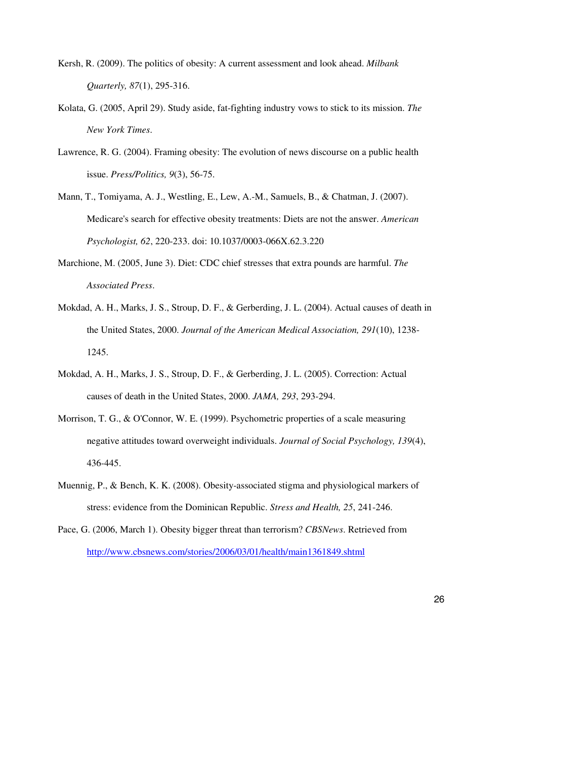- Kersh, R. (2009). The politics of obesity: A current assessment and look ahead. *Milbank Quarterly, 87*(1), 295-316.
- Kolata, G. (2005, April 29). Study aside, fat-fighting industry vows to stick to its mission. *The New York Times*.
- Lawrence, R. G. (2004). Framing obesity: The evolution of news discourse on a public health issue. *Press/Politics, 9*(3), 56-75.
- Mann, T., Tomiyama, A. J., Westling, E., Lew, A.-M., Samuels, B., & Chatman, J. (2007). Medicare's search for effective obesity treatments: Diets are not the answer. *American Psychologist, 62*, 220-233. doi: 10.1037/0003-066X.62.3.220
- Marchione, M. (2005, June 3). Diet: CDC chief stresses that extra pounds are harmful. *The Associated Press*.
- Mokdad, A. H., Marks, J. S., Stroup, D. F., & Gerberding, J. L. (2004). Actual causes of death in the United States, 2000. *Journal of the American Medical Association, 291*(10), 1238- 1245.
- Mokdad, A. H., Marks, J. S., Stroup, D. F., & Gerberding, J. L. (2005). Correction: Actual causes of death in the United States, 2000. *JAMA, 293*, 293-294.
- Morrison, T. G., & O'Connor, W. E. (1999). Psychometric properties of a scale measuring negative attitudes toward overweight individuals. *Journal of Social Psychology, 139*(4), 436-445.
- Muennig, P., & Bench, K. K. (2008). Obesity-associated stigma and physiological markers of stress: evidence from the Dominican Republic. *Stress and Health, 25*, 241-246.
- Pace, G. (2006, March 1). Obesity bigger threat than terrorism? *CBSNews*. Retrieved from http://www.cbsnews.com/stories/2006/03/01/health/main1361849.shtml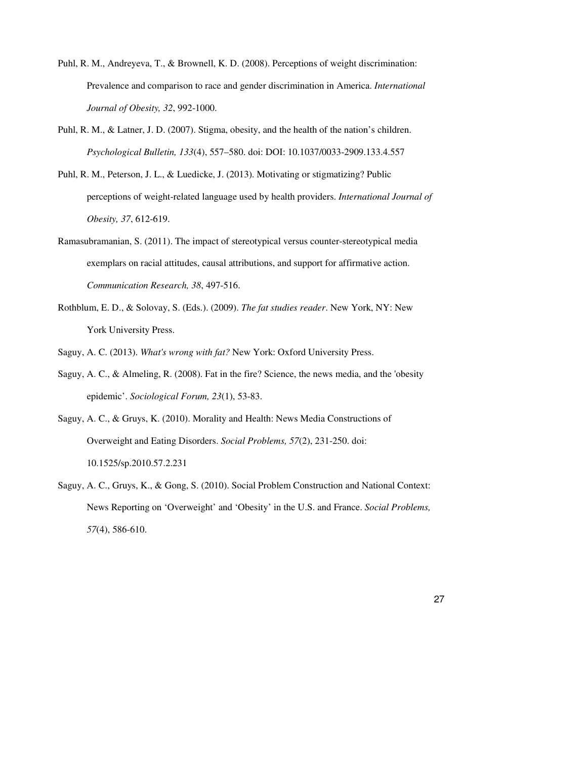- Puhl, R. M., Andreyeva, T., & Brownell, K. D. (2008). Perceptions of weight discrimination: Prevalence and comparison to race and gender discrimination in America. *International Journal of Obesity, 32*, 992-1000.
- Puhl, R. M., & Latner, J. D. (2007). Stigma, obesity, and the health of the nation's children. *Psychological Bulletin, 133*(4), 557–580. doi: DOI: 10.1037/0033-2909.133.4.557
- Puhl, R. M., Peterson, J. L., & Luedicke, J. (2013). Motivating or stigmatizing? Public perceptions of weight-related language used by health providers. *International Journal of Obesity, 37*, 612-619.
- Ramasubramanian, S. (2011). The impact of stereotypical versus counter-stereotypical media exemplars on racial attitudes, causal attributions, and support for affirmative action. *Communication Research, 38*, 497-516.
- Rothblum, E. D., & Solovay, S. (Eds.). (2009). *The fat studies reader*. New York, NY: New York University Press.

Saguy, A. C. (2013). *What's wrong with fat?* New York: Oxford University Press.

- Saguy, A. C., & Almeling, R. (2008). Fat in the fire? Science, the news media, and the 'obesity epidemic'. *Sociological Forum, 23*(1), 53-83.
- Saguy, A. C., & Gruys, K. (2010). Morality and Health: News Media Constructions of Overweight and Eating Disorders. *Social Problems, 57*(2), 231-250. doi: 10.1525/sp.2010.57.2.231
- Saguy, A. C., Gruys, K., & Gong, S. (2010). Social Problem Construction and National Context: News Reporting on 'Overweight' and 'Obesity' in the U.S. and France. *Social Problems, 57*(4), 586-610.